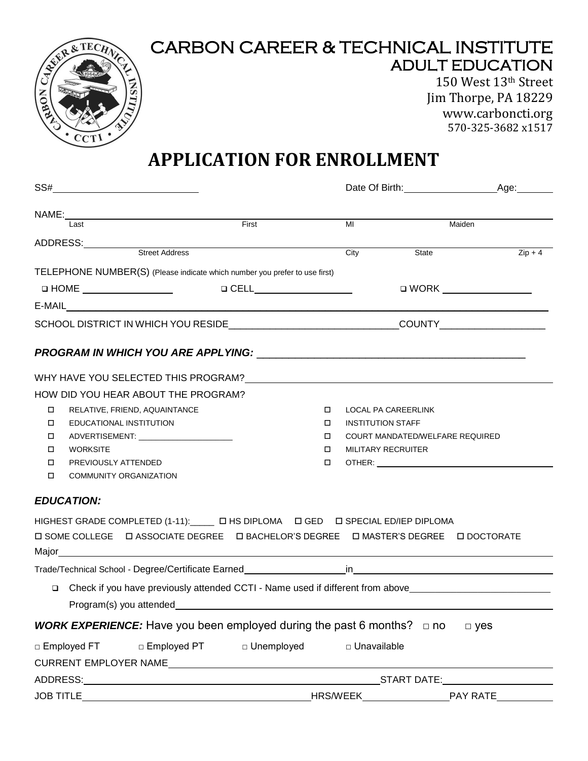

# CARBON CAREER & TECHNICAL INSTITUTE ADULT EDUCATION

150 West 13th Street Jim Thorpe, PA 18229 www.carboncti.org 570-325-3682 x1517

# **APPLICATION FOR ENROLLMENT**

|                                                                                                  | SS#________________________________ |  |                                 |        |                                 |                                                                                                               |  |  |
|--------------------------------------------------------------------------------------------------|-------------------------------------|--|---------------------------------|--------|---------------------------------|---------------------------------------------------------------------------------------------------------------|--|--|
|                                                                                                  | NAME: $\qquad \qquad \qquad$        |  |                                 |        |                                 |                                                                                                               |  |  |
|                                                                                                  | Last                                |  | First                           |        | MI                              | Maiden                                                                                                        |  |  |
|                                                                                                  | ADDRESS:<br>Street Address          |  |                                 |        |                                 |                                                                                                               |  |  |
|                                                                                                  |                                     |  |                                 |        | State<br>City                   | $Zip + 4$                                                                                                     |  |  |
| TELEPHONE NUMBER(S) (Please indicate which number you prefer to use first)                       |                                     |  |                                 |        |                                 |                                                                                                               |  |  |
|                                                                                                  |                                     |  | <b>Q</b> CELL__________________ |        |                                 | □ WORK __________________                                                                                     |  |  |
|                                                                                                  |                                     |  |                                 |        |                                 |                                                                                                               |  |  |
| SCHOOL DISTRICT IN WHICH YOU RESIDE________________________________COUNTY______________          |                                     |  |                                 |        |                                 |                                                                                                               |  |  |
|                                                                                                  |                                     |  |                                 |        |                                 |                                                                                                               |  |  |
|                                                                                                  |                                     |  |                                 |        |                                 |                                                                                                               |  |  |
| HOW DID YOU HEAR ABOUT THE PROGRAM?                                                              |                                     |  |                                 |        |                                 |                                                                                                               |  |  |
| $\Box$                                                                                           | RELATIVE, FRIEND, AQUAINTANCE       |  |                                 |        | LOCAL PA CAREERLINK             |                                                                                                               |  |  |
| □                                                                                                | EDUCATIONAL INSTITUTION             |  |                                 |        | <b>INSTITUTION STAFF</b>        |                                                                                                               |  |  |
| $\Box$                                                                                           |                                     |  |                                 |        | COURT MANDATED/WELFARE REQUIRED |                                                                                                               |  |  |
| □                                                                                                | <b>WORKSITE</b>                     |  |                                 | 0      | MILITARY RECRUITER              |                                                                                                               |  |  |
| $\Box$                                                                                           | PREVIOUSLY ATTENDED                 |  |                                 | $\Box$ |                                 |                                                                                                               |  |  |
| $\Box$                                                                                           | <b>COMMUNITY ORGANIZATION</b>       |  |                                 |        |                                 |                                                                                                               |  |  |
| <b>EDUCATION:</b>                                                                                |                                     |  |                                 |        |                                 |                                                                                                               |  |  |
| HIGHEST GRADE COMPLETED (1-11): U HS DIPLOMA U GED U SPECIAL ED/IEP DIPLOMA                      |                                     |  |                                 |        |                                 |                                                                                                               |  |  |
| <b>□ SOME COLLEGE  □ ASSOCIATE DEGREE  □ BACHELOR'S DEGREE  □ MASTER'S DEGREE  □ DOCTORATE</b>   |                                     |  |                                 |        |                                 |                                                                                                               |  |  |
|                                                                                                  |                                     |  |                                 |        |                                 |                                                                                                               |  |  |
|                                                                                                  |                                     |  |                                 |        |                                 |                                                                                                               |  |  |
| $\Box$                                                                                           |                                     |  |                                 |        |                                 | Check if you have previously attended CCTI - Name used if different from above_______________________________ |  |  |
|                                                                                                  | Program(s) you attended             |  |                                 |        |                                 |                                                                                                               |  |  |
| <b>WORK EXPERIENCE:</b> Have you been employed during the past 6 months? $\Box$ no<br>$\Box$ yes |                                     |  |                                 |        |                                 |                                                                                                               |  |  |
| □ Employed FT □ Employed PT<br>$\Box$ Unemployed<br>□ Unavailable                                |                                     |  |                                 |        |                                 |                                                                                                               |  |  |
|                                                                                                  |                                     |  |                                 |        |                                 |                                                                                                               |  |  |
|                                                                                                  |                                     |  |                                 |        |                                 |                                                                                                               |  |  |
|                                                                                                  |                                     |  |                                 |        |                                 |                                                                                                               |  |  |
|                                                                                                  |                                     |  |                                 |        |                                 |                                                                                                               |  |  |